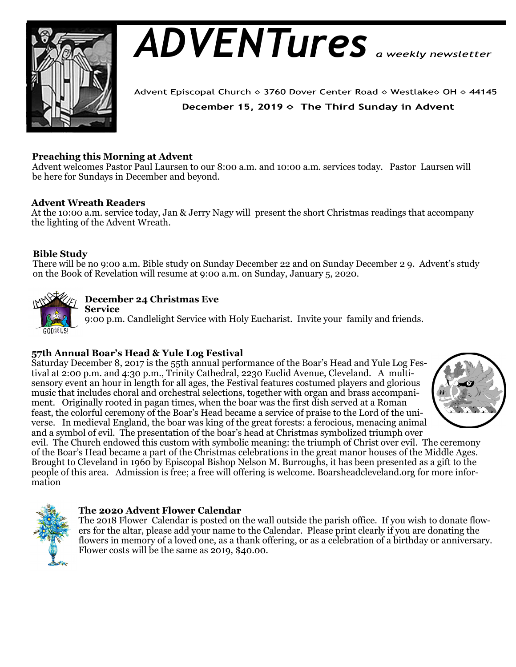

# *ADVENTures*

Advent Episcopal Church ◇ 3760 Dover Center Road ◇ Westlake◇ OH ◇ 44145 December 15, 2019  $\diamond$  The Third Sunday in Advent

# **Preaching this Morning at Advent**

Advent welcomes Pastor Paul Laursen to our 8:00 a.m. and 10:00 a.m. services today. Pastor Laursen will be here for Sundays in December and beyond.

## **Advent Wreath Readers**

At the 10:00 a.m. service today, Jan & Jerry Nagy will present the short Christmas readings that accompany the lighting of the Advent Wreath.

# **Bible Study**

There will be no 9:00 a.m. Bible study on Sunday December 22 and on Sunday December 2 9. Advent's study on the Book of Revelation will resume at 9:00 a.m. on Sunday, January 5, 2020.



# **December 24 Christmas Eve**

**Service**  9:00 p.m. Candlelight Service with Holy Eucharist. Invite your family and friends.

# **57th Annual Boar's Head & Yule Log Festival**

Saturday December 8, 2017 is the 55th annual performance of the Boar's Head and Yule Log Festival at 2:00 p.m. and 4:30 p.m., Trinity Cathedral, 2230 Euclid Avenue, Cleveland. A multisensory event an hour in length for all ages, the Festival features costumed players and glorious music that includes choral and orchestral selections, together with organ and brass accompaniment. Originally rooted in pagan times, when the boar was the first dish served at a Roman feast, the colorful ceremony of the Boar's Head became a service of praise to the Lord of the universe. In medieval England, the boar was king of the great forests: a ferocious, menacing animal and a symbol of evil. The presentation of the boar's head at Christmas symbolized triumph over



evil. The Church endowed this custom with symbolic meaning: the triumph of Christ over evil. The ceremony of the Boar's Head became a part of the Christmas celebrations in the great manor houses of the Middle Ages. Brought to Cleveland in 1960 by Episcopal Bishop Nelson M. Burroughs, it has been presented as a gift to the people of this area. Admission is free; a free will offering is welcome. Boarsheadcleveland.org for more information



## **The 2020 Advent Flower Calendar**

The 2018 Flower Calendar is posted on the wall outside the parish office. If you wish to donate flowers for the altar, please add your name to the Calendar. Please print clearly if you are donating the flowers in memory of a loved one, as a thank offering, or as a celebration of a birthday or anniversary. Flower costs will be the same as 2019, \$40.00.